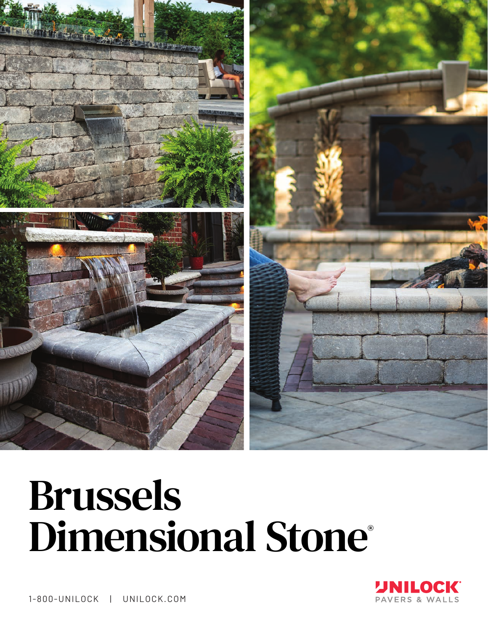

## Brussels Dimensional Stone®



1-800-UNILOCK | UNILOCK.COM